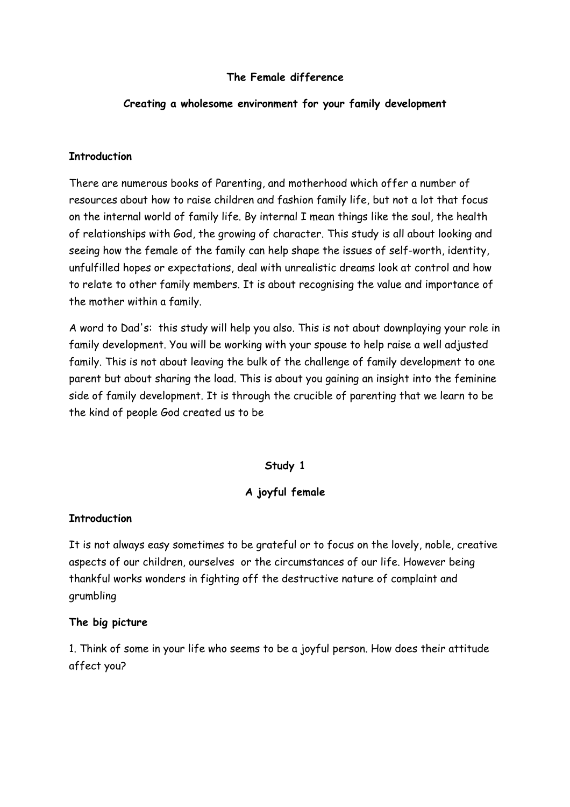### **The Female difference**

### **Creating a wholesome environment for your family development**

#### **Introduction**

There are numerous books of Parenting, and motherhood which offer a number of resources about how to raise children and fashion family life, but not a lot that focus on the internal world of family life. By internal I mean things like the soul, the health of relationships with God, the growing of character. This study is all about looking and seeing how the female of the family can help shape the issues of self-worth, identity, unfulfilled hopes or expectations, deal with unrealistic dreams look at control and how to relate to other family members. It is about recognising the value and importance of the mother within a family.

A word to Dad's: this study will help you also. This is not about downplaying your role in family development. You will be working with your spouse to help raise a well adjusted family. This is not about leaving the bulk of the challenge of family development to one parent but about sharing the load. This is about you gaining an insight into the feminine side of family development. It is through the crucible of parenting that we learn to be the kind of people God created us to be

### **Study 1**

### **A joyful female**

#### **Introduction**

It is not always easy sometimes to be grateful or to focus on the lovely, noble, creative aspects of our children, ourselves or the circumstances of our life. However being thankful works wonders in fighting off the destructive nature of complaint and grumbling

#### **The big picture**

1. Think of some in your life who seems to be a joyful person. How does their attitude affect you?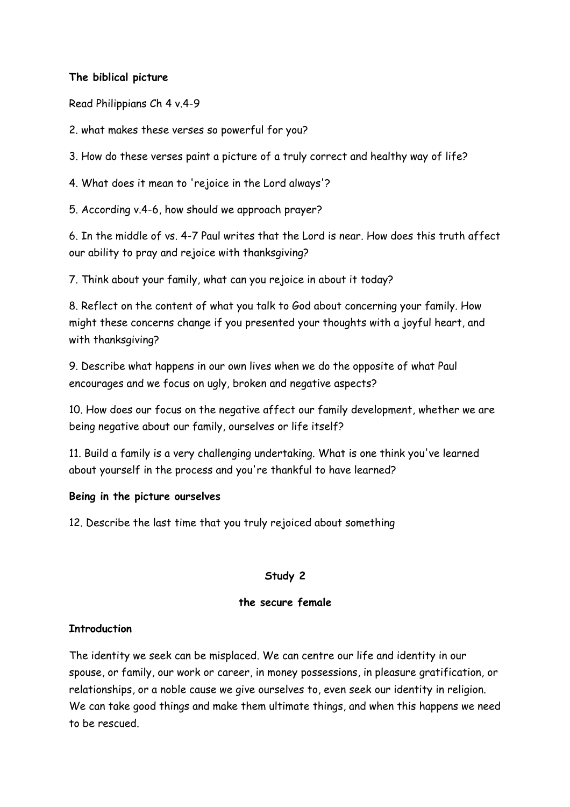## **The biblical picture**

Read Philippians Ch 4 v.4-9

2. what makes these verses so powerful for you?

3. How do these verses paint a picture of a truly correct and healthy way of life?

4. What does it mean to 'rejoice in the Lord always'?

5. According v.4-6, how should we approach prayer?

6. In the middle of vs. 4-7 Paul writes that the Lord is near. How does this truth affect our ability to pray and rejoice with thanksgiving?

7. Think about your family, what can you rejoice in about it today?

8. Reflect on the content of what you talk to God about concerning your family. How might these concerns change if you presented your thoughts with a joyful heart, and with thanksgiving?

9. Describe what happens in our own lives when we do the opposite of what Paul encourages and we focus on ugly, broken and negative aspects?

10. How does our focus on the negative affect our family development, whether we are being negative about our family, ourselves or life itself?

11. Build a family is a very challenging undertaking. What is one think you've learned about yourself in the process and you're thankful to have learned?

### **Being in the picture ourselves**

12. Describe the last time that you truly rejoiced about something

### **Study 2**

### **the secure female**

### **Introduction**

The identity we seek can be misplaced. We can centre our life and identity in our spouse, or family, our work or career, in money possessions, in pleasure gratification, or relationships, or a noble cause we give ourselves to, even seek our identity in religion. We can take good things and make them ultimate things, and when this happens we need to be rescued.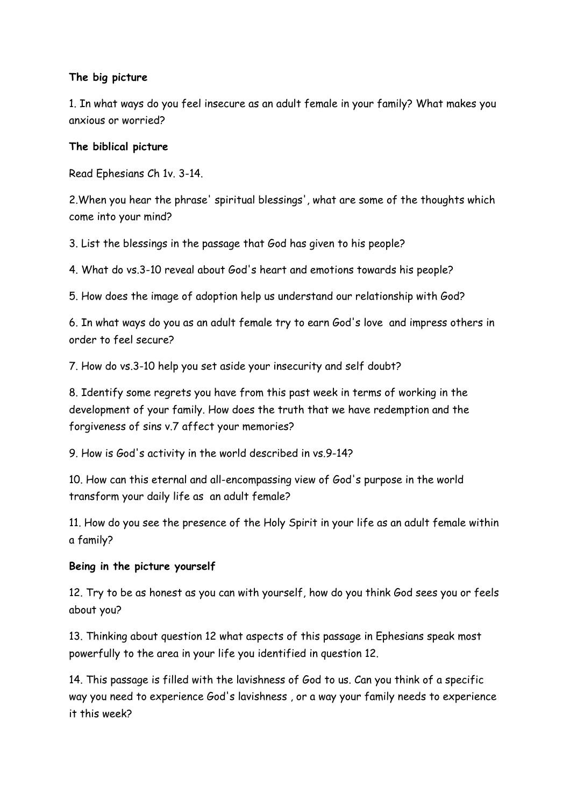## **The big picture**

1. In what ways do you feel insecure as an adult female in your family? What makes you anxious or worried?

## **The biblical picture**

Read Ephesians Ch 1v. 3-14.

2.When you hear the phrase' spiritual blessings', what are some of the thoughts which come into your mind?

3. List the blessings in the passage that God has given to his people?

4. What do vs.3-10 reveal about God's heart and emotions towards his people?

5. How does the image of adoption help us understand our relationship with God?

6. In what ways do you as an adult female try to earn God's love and impress others in order to feel secure?

7. How do vs.3-10 help you set aside your insecurity and self doubt?

8. Identify some regrets you have from this past week in terms of working in the development of your family. How does the truth that we have redemption and the forgiveness of sins v.7 affect your memories?

9. How is God's activity in the world described in vs.9-14?

10. How can this eternal and all-encompassing view of God's purpose in the world transform your daily life as an adult female?

11. How do you see the presence of the Holy Spirit in your life as an adult female within a family?

## **Being in the picture yourself**

12. Try to be as honest as you can with yourself, how do you think God sees you or feels about you?

13. Thinking about question 12 what aspects of this passage in Ephesians speak most powerfully to the area in your life you identified in question 12.

14. This passage is filled with the lavishness of God to us. Can you think of a specific way you need to experience God's lavishness , or a way your family needs to experience it this week?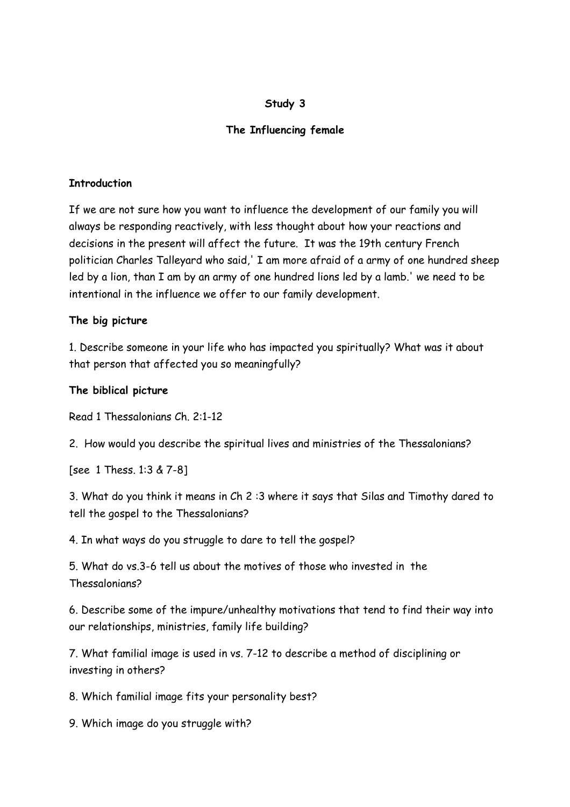### **Study 3**

# **The Influencing female**

### **Introduction**

If we are not sure how you want to influence the development of our family you will always be responding reactively, with less thought about how your reactions and decisions in the present will affect the future. It was the 19th century French politician Charles Talleyard who said,' I am more afraid of a army of one hundred sheep led by a lion, than I am by an army of one hundred lions led by a lamb.' we need to be intentional in the influence we offer to our family development.

## **The big picture**

1. Describe someone in your life who has impacted you spiritually? What was it about that person that affected you so meaningfully?

## **The biblical picture**

Read 1 Thessalonians Ch. 2:1-12

2. How would you describe the spiritual lives and ministries of the Thessalonians?

[see 1 Thess. 1:3 & 7-8]

3. What do you think it means in Ch 2 :3 where it says that Silas and Timothy dared to tell the gospel to the Thessalonians?

4. In what ways do you struggle to dare to tell the gospel?

5. What do vs.3-6 tell us about the motives of those who invested in the Thessalonians?

6. Describe some of the impure/unhealthy motivations that tend to find their way into our relationships, ministries, family life building?

7. What familial image is used in vs. 7-12 to describe a method of disciplining or investing in others?

8. Which familial image fits your personality best?

9. Which image do you struggle with?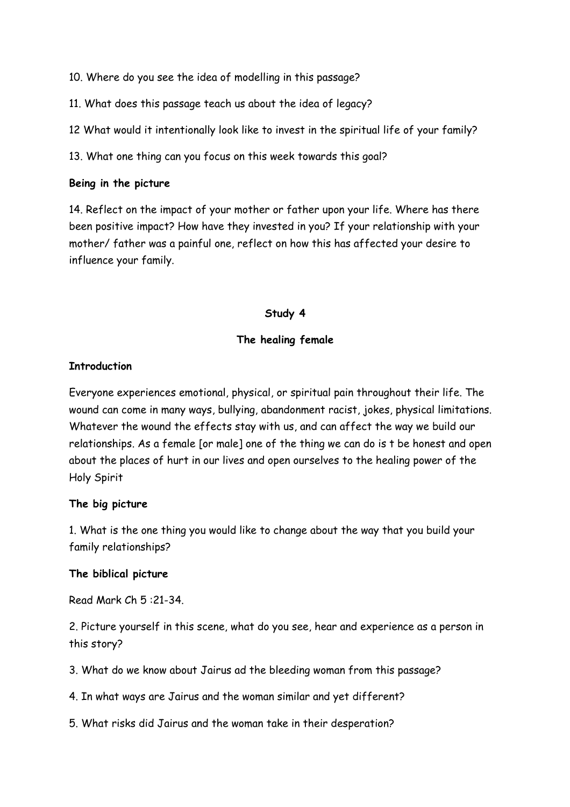10. Where do you see the idea of modelling in this passage?

11. What does this passage teach us about the idea of legacy?

12 What would it intentionally look like to invest in the spiritual life of your family?

13. What one thing can you focus on this week towards this goal?

### **Being in the picture**

14. Reflect on the impact of your mother or father upon your life. Where has there been positive impact? How have they invested in you? If your relationship with your mother/ father was a painful one, reflect on how this has affected your desire to influence your family.

## **Study 4**

## **The healing female**

## **Introduction**

Everyone experiences emotional, physical, or spiritual pain throughout their life. The wound can come in many ways, bullying, abandonment racist, jokes, physical limitations. Whatever the wound the effects stay with us, and can affect the way we build our relationships. As a female [or male] one of the thing we can do is t be honest and open about the places of hurt in our lives and open ourselves to the healing power of the Holy Spirit

### **The big picture**

1. What is the one thing you would like to change about the way that you build your family relationships?

### **The biblical picture**

Read Mark Ch 5 :21-34.

2. Picture yourself in this scene, what do you see, hear and experience as a person in this story?

3. What do we know about Jairus ad the bleeding woman from this passage?

4. In what ways are Jairus and the woman similar and yet different?

5. What risks did Jairus and the woman take in their desperation?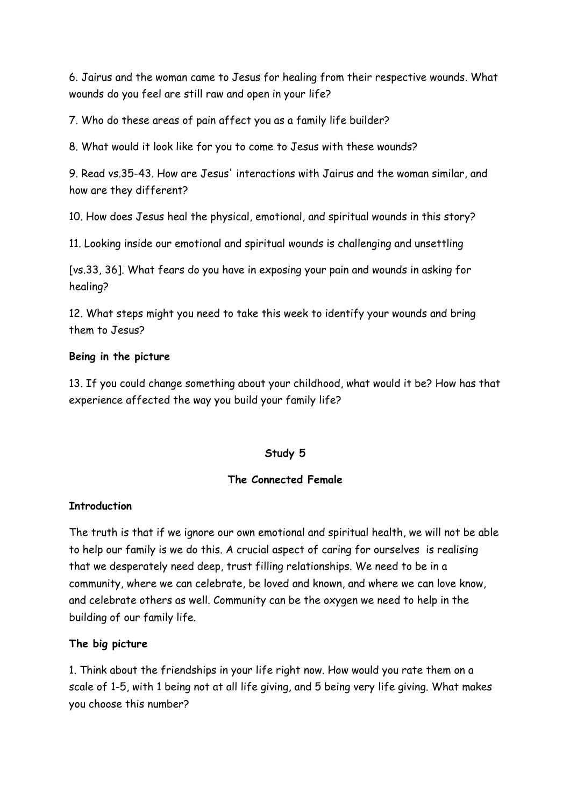6. Jairus and the woman came to Jesus for healing from their respective wounds. What wounds do you feel are still raw and open in your life?

7. Who do these areas of pain affect you as a family life builder?

8. What would it look like for you to come to Jesus with these wounds?

9. Read vs.35-43. How are Jesus' interactions with Jairus and the woman similar, and how are they different?

10. How does Jesus heal the physical, emotional, and spiritual wounds in this story?

11. Looking inside our emotional and spiritual wounds is challenging and unsettling

[vs.33, 36]. What fears do you have in exposing your pain and wounds in asking for healing?

12. What steps might you need to take this week to identify your wounds and bring them to Jesus?

## **Being in the picture**

13. If you could change something about your childhood, what would it be? How has that experience affected the way you build your family life?

### **Study 5**

### **The Connected Female**

### **Introduction**

The truth is that if we ignore our own emotional and spiritual health, we will not be able to help our family is we do this. A crucial aspect of caring for ourselves is realising that we desperately need deep, trust filling relationships. We need to be in a community, where we can celebrate, be loved and known, and where we can love know, and celebrate others as well. Community can be the oxygen we need to help in the building of our family life.

### **The big picture**

1. Think about the friendships in your life right now. How would you rate them on a scale of 1-5, with 1 being not at all life giving, and 5 being very life giving. What makes you choose this number?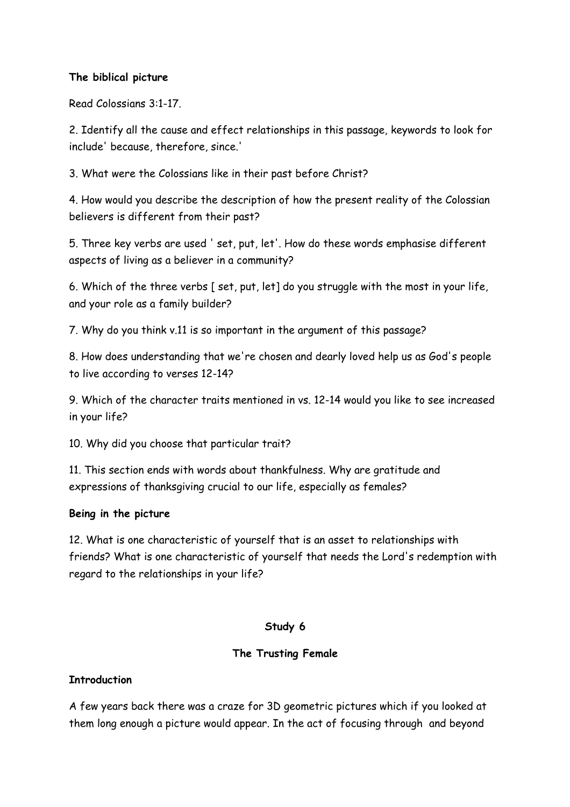## **The biblical picture**

Read Colossians 3:1-17.

2. Identify all the cause and effect relationships in this passage, keywords to look for include' because, therefore, since.'

3. What were the Colossians like in their past before Christ?

4. How would you describe the description of how the present reality of the Colossian believers is different from their past?

5. Three key verbs are used ' set, put, let'. How do these words emphasise different aspects of living as a believer in a community?

6. Which of the three verbs [ set, put, let] do you struggle with the most in your life, and your role as a family builder?

7. Why do you think v.11 is so important in the argument of this passage?

8. How does understanding that we're chosen and dearly loved help us as God's people to live according to verses 12-14?

9. Which of the character traits mentioned in vs. 12-14 would you like to see increased in your life?

10. Why did you choose that particular trait?

11. This section ends with words about thankfulness. Why are gratitude and expressions of thanksgiving crucial to our life, especially as females?

### **Being in the picture**

12. What is one characteristic of yourself that is an asset to relationships with friends? What is one characteristic of yourself that needs the Lord's redemption with regard to the relationships in your life?

### **Study 6**

## **The Trusting Female**

## **Introduction**

A few years back there was a craze for 3D geometric pictures which if you looked at them long enough a picture would appear. In the act of focusing through and beyond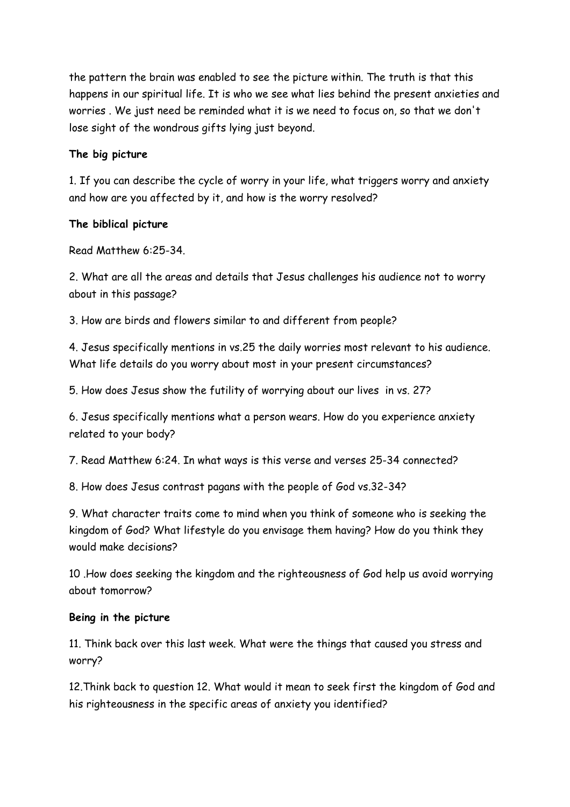the pattern the brain was enabled to see the picture within. The truth is that this happens in our spiritual life. It is who we see what lies behind the present anxieties and worries . We just need be reminded what it is we need to focus on, so that we don't lose sight of the wondrous gifts lying just beyond.

## **The big picture**

1. If you can describe the cycle of worry in your life, what triggers worry and anxiety and how are you affected by it, and how is the worry resolved?

# **The biblical picture**

Read Matthew 6:25-34.

2. What are all the areas and details that Jesus challenges his audience not to worry about in this passage?

3. How are birds and flowers similar to and different from people?

4. Jesus specifically mentions in vs.25 the daily worries most relevant to his audience. What life details do you worry about most in your present circumstances?

5. How does Jesus show the futility of worrying about our lives in vs. 27?

6. Jesus specifically mentions what a person wears. How do you experience anxiety related to your body?

7. Read Matthew 6:24. In what ways is this verse and verses 25-34 connected?

8. How does Jesus contrast pagans with the people of God vs.32-34?

9. What character traits come to mind when you think of someone who is seeking the kingdom of God? What lifestyle do you envisage them having? How do you think they would make decisions?

10 .How does seeking the kingdom and the righteousness of God help us avoid worrying about tomorrow?

## **Being in the picture**

11. Think back over this last week. What were the things that caused you stress and worry?

12.Think back to question 12. What would it mean to seek first the kingdom of God and his righteousness in the specific areas of anxiety you identified?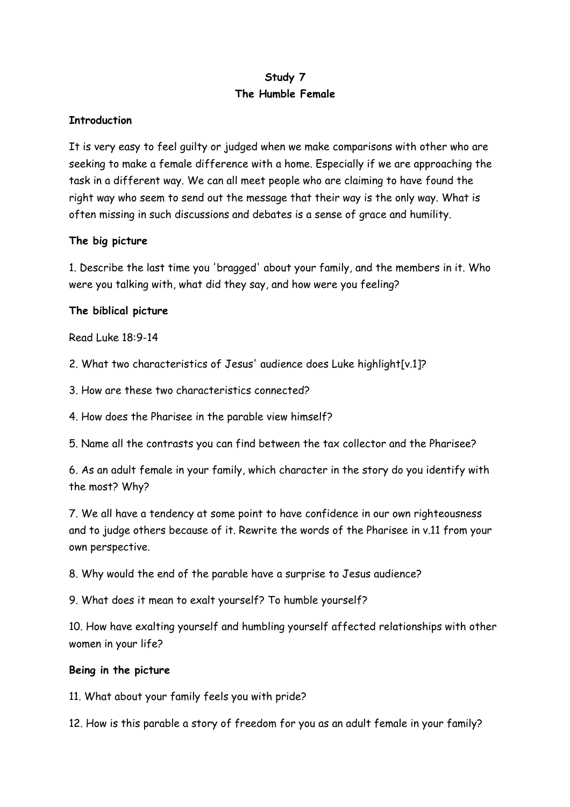# **Study 7 The Humble Female**

## **Introduction**

It is very easy to feel guilty or judged when we make comparisons with other who are seeking to make a female difference with a home. Especially if we are approaching the task in a different way. We can all meet people who are claiming to have found the right way who seem to send out the message that their way is the only way. What is often missing in such discussions and debates is a sense of grace and humility.

### **The big picture**

1. Describe the last time you 'bragged' about your family, and the members in it. Who were you talking with, what did they say, and how were you feeling?

## **The biblical picture**

Read Luke 18:9-14

2. What two characteristics of Jesus' audience does Luke highlight[v.1]?

3. How are these two characteristics connected?

4. How does the Pharisee in the parable view himself?

5. Name all the contrasts you can find between the tax collector and the Pharisee?

6. As an adult female in your family, which character in the story do you identify with the most? Why?

7. We all have a tendency at some point to have confidence in our own righteousness and to judge others because of it. Rewrite the words of the Pharisee in v.11 from your own perspective.

8. Why would the end of the parable have a surprise to Jesus audience?

9. What does it mean to exalt yourself? To humble yourself?

10. How have exalting yourself and humbling yourself affected relationships with other women in your life?

### **Being in the picture**

11. What about your family feels you with pride?

12. How is this parable a story of freedom for you as an adult female in your family?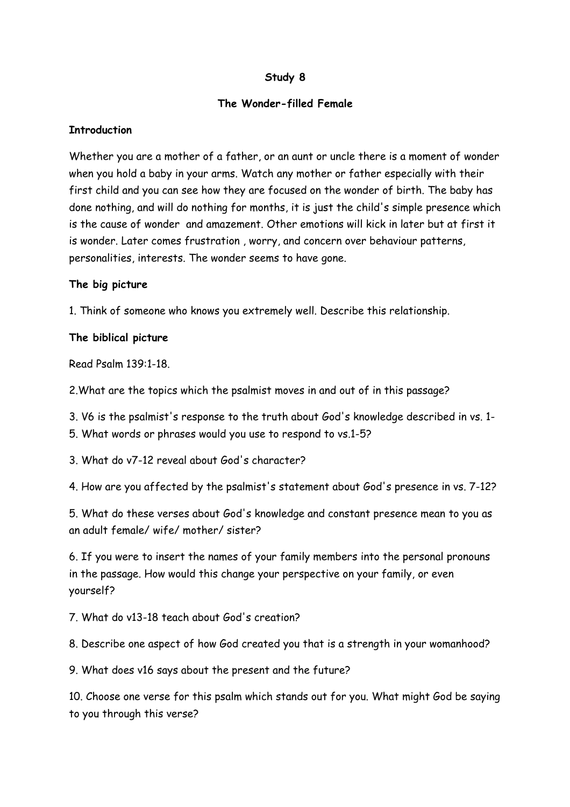## **Study 8**

### **The Wonder-filled Female**

### **Introduction**

Whether you are a mother of a father, or an aunt or uncle there is a moment of wonder when you hold a baby in your arms. Watch any mother or father especially with their first child and you can see how they are focused on the wonder of birth. The baby has done nothing, and will do nothing for months, it is just the child's simple presence which is the cause of wonder and amazement. Other emotions will kick in later but at first it is wonder. Later comes frustration , worry, and concern over behaviour patterns, personalities, interests. The wonder seems to have gone.

### **The big picture**

1. Think of someone who knows you extremely well. Describe this relationship.

## **The biblical picture**

Read Psalm 139:1-18.

2.What are the topics which the psalmist moves in and out of in this passage?

3. V6 is the psalmist's response to the truth about God's knowledge described in vs. 1-

- 5. What words or phrases would you use to respond to vs.1-5?
- 3. What do v7-12 reveal about God's character?

4. How are you affected by the psalmist's statement about God's presence in vs. 7-12?

5. What do these verses about God's knowledge and constant presence mean to you as an adult female/ wife/ mother/ sister?

6. If you were to insert the names of your family members into the personal pronouns in the passage. How would this change your perspective on your family, or even yourself?

7. What do v13-18 teach about God's creation?

8. Describe one aspect of how God created you that is a strength in your womanhood?

9. What does v16 says about the present and the future?

10. Choose one verse for this psalm which stands out for you. What might God be saying to you through this verse?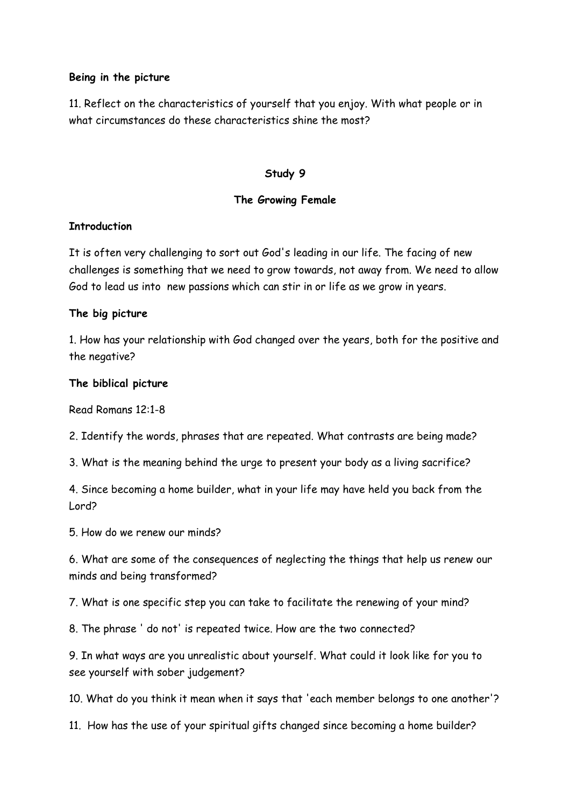#### **Being in the picture**

11. Reflect on the characteristics of yourself that you enjoy. With what people or in what circumstances do these characteristics shine the most?

#### **Study 9**

### **The Growing Female**

### **Introduction**

It is often very challenging to sort out God's leading in our life. The facing of new challenges is something that we need to grow towards, not away from. We need to allow God to lead us into new passions which can stir in or life as we grow in years.

### **The big picture**

1. How has your relationship with God changed over the years, both for the positive and the negative?

### **The biblical picture**

Read Romans 12:1-8

2. Identify the words, phrases that are repeated. What contrasts are being made?

3. What is the meaning behind the urge to present your body as a living sacrifice?

4. Since becoming a home builder, what in your life may have held you back from the Lord?

5. How do we renew our minds?

6. What are some of the consequences of neglecting the things that help us renew our minds and being transformed?

7. What is one specific step you can take to facilitate the renewing of your mind?

8. The phrase ' do not' is repeated twice. How are the two connected?

9. In what ways are you unrealistic about yourself. What could it look like for you to see yourself with sober judgement?

10. What do you think it mean when it says that 'each member belongs to one another'?

11. How has the use of your spiritual gifts changed since becoming a home builder?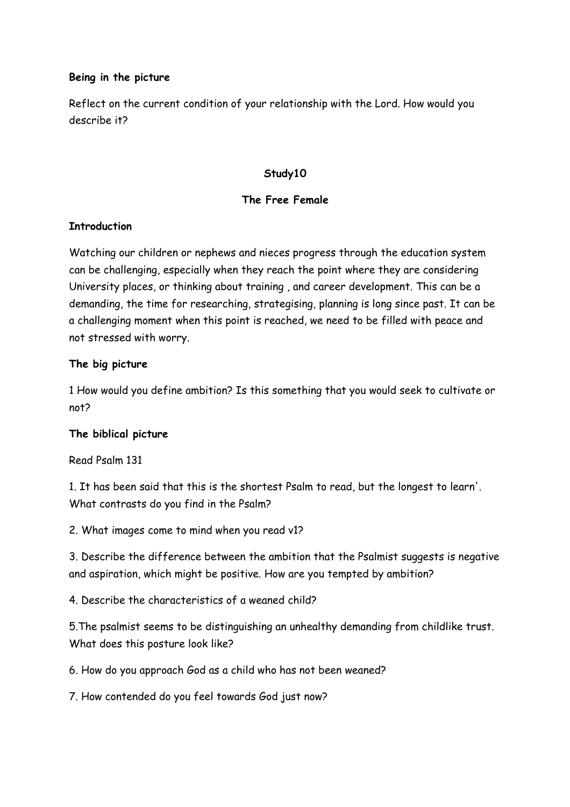### **Being in the picture**

Reflect on the current condition of your relationship with the Lord. How would you describe it?

### **Study10**

## **The Free Female**

## **Introduction**

Watching our children or nephews and nieces progress through the education system can be challenging, especially when they reach the point where they are considering University places, or thinking about training , and career development. This can be a demanding, the time for researching, strategising, planning is long since past. It can be a challenging moment when this point is reached, we need to be filled with peace and not stressed with worry.

## **The big picture**

1 How would you define ambition? Is this something that you would seek to cultivate or not?

### **The biblical picture**

Read Psalm 131

1. It has been said that this is the shortest Psalm to read, but the longest to learn'. What contrasts do you find in the Psalm?

2. What images come to mind when you read v1?

3. Describe the difference between the ambition that the Psalmist suggests is negative and aspiration, which might be positive. How are you tempted by ambition?

4. Describe the characteristics of a weaned child?

5.The psalmist seems to be distinguishing an unhealthy demanding from childlike trust. What does this posture look like?

6. How do you approach God as a child who has not been weaned?

7. How contended do you feel towards God just now?